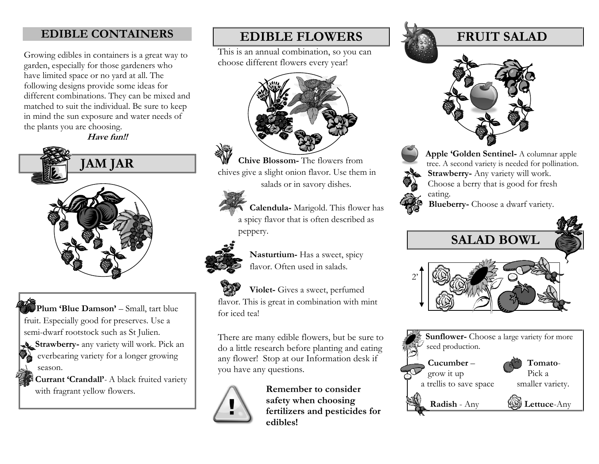### **EDIBLE CONTAINERS**

Growing edibles in containers is a great way to garden, especially for those gardeners who have limited space or no yard at all. The following designs provide some ideas for different combinations. They can be mixed and matched to suit the individual. Be sure to keep in mind the sun exposure and water needs of the plants you are choosing.

**Have fun!!**



 **Plum 'Blue Damson'** – Small, tart blue fruit. Especially good for preserves. Use a semi-dwarf rootstock such as St Julien. **Strawberry-** any variety will work. Pick an everbearing variety for a longer growing

 season. **Currant 'Crandall'***-* A black fruited variety with fragrant yellow flowers.

## **EDIBLE FLOWERS**

This is an annual combination, so you can choose different flowers every year!



 **Chive Blossom-** The flowers from chives give a slight onion flavor. Use them in salads or in savory dishes.

> **Calendula-** Marigold. This flower has a spicy flavor that is often described as peppery.



 **Nasturtium-** Has a sweet, spicy flavor. Often used in salads.

 **Violet-** Gives a sweet, perfumed flavor. This is great in combination with mint for iced tea!

There are many edible flowers, but be sure to do a little research before planting and eating any flower! Stop at our Information desk if you have any questions.



**Remember to consider safety when choosing fertilizers and pesticides for edibles!**

## **FRUIT SALAD**





 **Apple 'Golden Sentinel-** A columnar apple tree. A second variety is needed for pollination.  **Strawberry-** Any variety will work. Choose a berry that is good for fresh eating.

**Blueberry-** Choose a dwarf variety.